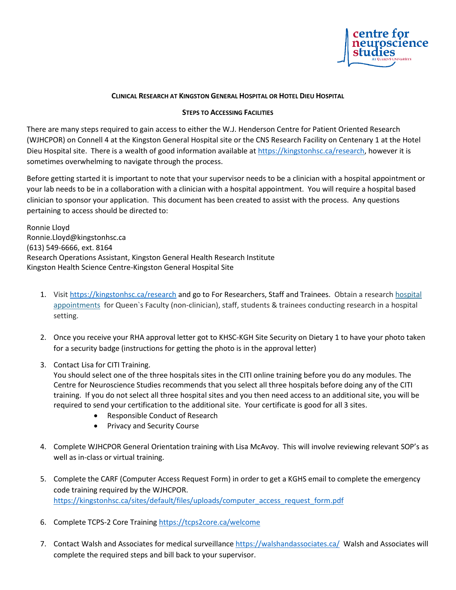

## **CLINICAL RESEARCH AT KINGSTON GENERAL HOSPITAL OR HOTEL DIEU HOSPITAL**

## **STEPS TO ACCESSING FACILITIES**

There are many steps required to gain access to either the W.J. Henderson Centre for Patient Oriented Research (WJHCPOR) on Connell 4 at the Kingston General Hospital site or the CNS Research Facility on Centenary 1 at the Hotel Dieu Hospital site. There is a wealth of good information available at [https://kingstonhsc.ca/research,](https://kingstonhsc.ca/research) however it is sometimes overwhelming to navigate through the process.

Before getting started it is important to note that your supervisor needs to be a clinician with a hospital appointment or your lab needs to be in a collaboration with a clinician with a hospital appointment. You will require a hospital based clinician to sponsor your application. This document has been created to assist with the process. Any questions pertaining to access should be directed to:

Ronnie Lloyd Ronnie.Lloyd@kingstonhsc.ca (613) 549-6666, ext. 8164 Research Operations Assistant, Kingston General Health Research Institute Kingston Health Science Centre-Kingston General Hospital Site

- 1. Visit<https://kingstonhsc.ca/research> and go to For Researchers, Staff and Trainees. Obtain a research hospital [appointments](https://kingstonhsc.ca/sites/default/files/uploads/appendix_a_rha_application_form_0.pdf) for Queen`s Faculty (non-clinician), staff, students & trainees conducting research in a hospital setting.
- 2. Once you receive your RHA approval letter got to KHSC-KGH Site Security on Dietary 1 to have your photo taken for a security badge (instructions for getting the photo is in the approval letter)
- 3. Contact Lisa for CITI Training.

You should select one of the three hospitals sites in the CITI online training before you do any modules. The Centre for Neuroscience Studies recommends that you select all three hospitals before doing any of the CITI training. If you do not select all three hospital sites and you then need access to an additional site, you will be required to send your certification to the additional site. Your certificate is good for all 3 sites.

- Responsible Conduct of Research
- Privacy and Security Course
- 4. Complete WJHCPOR General Orientation training with Lisa McAvoy. This will involve reviewing relevant SOP's as well as in-class or virtual training.
- 5. Complete the CARF (Computer Access Request Form) in order to get a KGHS email to complete the emergency code training required by the WJHCPOR. [https://kingstonhsc.ca/sites/default/files/uploads/computer\\_access\\_request\\_form.pdf](https://kingstonhsc.ca/sites/default/files/uploads/computer_access_request_form.pdf)
- 6. Complete TCPS-2 Core Training<https://tcps2core.ca/welcome>
- 7. Contact Walsh and Associates for medical surveillance <https://walshandassociates.ca/>Walsh and Associates will complete the required steps and bill back to your supervisor.